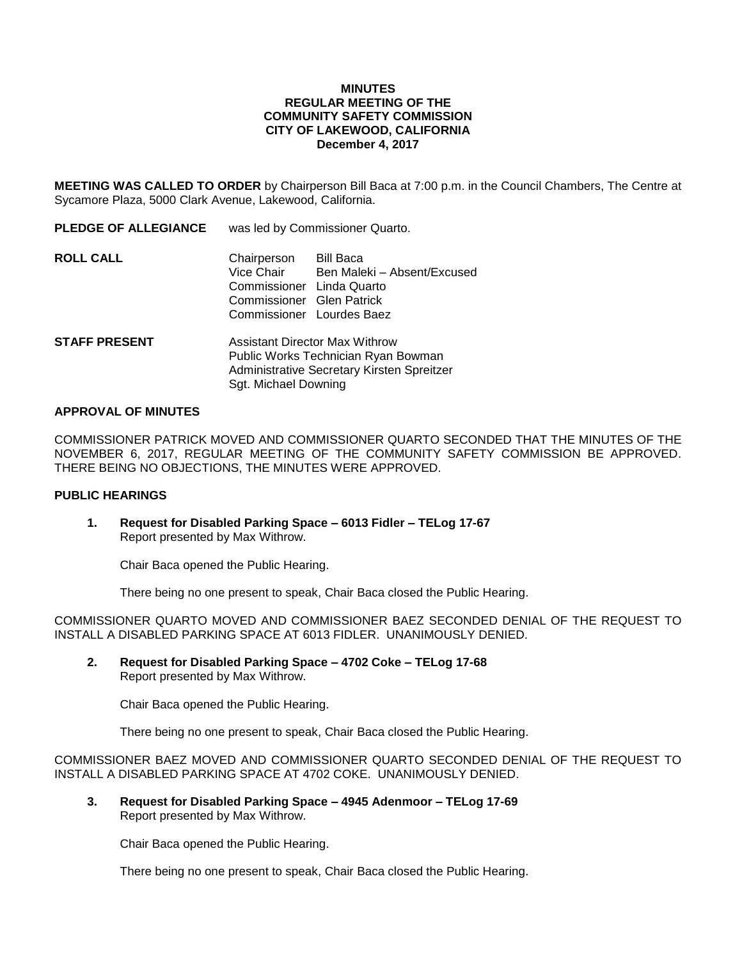#### **MINUTES REGULAR MEETING OF THE COMMUNITY SAFETY COMMISSION CITY OF LAKEWOOD, CALIFORNIA December 4, 2017**

**MEETING WAS CALLED TO ORDER** by Chairperson Bill Baca at 7:00 p.m. in the Council Chambers, The Centre at Sycamore Plaza, 5000 Clark Avenue, Lakewood, California.

| <b>PLEDGE OF ALLEGIANCE</b> | was led by Commissioner Quarto.                                                                                            |                                          |
|-----------------------------|----------------------------------------------------------------------------------------------------------------------------|------------------------------------------|
| <b>ROLL CALL</b>            | Chairperson<br>Vice Chair<br>Commissioner Linda Quarto<br>Commissioner Glen Patrick<br>Commissioner Lourdes Baez           | Bill Baca<br>Ben Maleki - Absent/Excused |
| <b>STAFF PRESENT</b>        | <b>Assistant Director Max Withrow</b><br>Public Works Technician Ryan Bowman<br>Administrative Secretary Kirsten Spreitzer |                                          |

### **APPROVAL OF MINUTES**

COMMISSIONER PATRICK MOVED AND COMMISSIONER QUARTO SECONDED THAT THE MINUTES OF THE NOVEMBER 6, 2017, REGULAR MEETING OF THE COMMUNITY SAFETY COMMISSION BE APPROVED. THERE BEING NO OBJECTIONS, THE MINUTES WERE APPROVED.

## **PUBLIC HEARINGS**

**1. Request for Disabled Parking Space – 6013 Fidler – TELog 17-67** Report presented by Max Withrow.

Sgt. Michael Downing

Chair Baca opened the Public Hearing.

There being no one present to speak, Chair Baca closed the Public Hearing.

COMMISSIONER QUARTO MOVED AND COMMISSIONER BAEZ SECONDED DENIAL OF THE REQUEST TO INSTALL A DISABLED PARKING SPACE AT 6013 FIDLER. UNANIMOUSLY DENIED.

**2. Request for Disabled Parking Space – 4702 Coke – TELog 17-68** Report presented by Max Withrow.

Chair Baca opened the Public Hearing.

There being no one present to speak, Chair Baca closed the Public Hearing.

COMMISSIONER BAEZ MOVED AND COMMISSIONER QUARTO SECONDED DENIAL OF THE REQUEST TO INSTALL A DISABLED PARKING SPACE AT 4702 COKE. UNANIMOUSLY DENIED.

**3. Request for Disabled Parking Space – 4945 Adenmoor – TELog 17-69** Report presented by Max Withrow.

Chair Baca opened the Public Hearing.

There being no one present to speak, Chair Baca closed the Public Hearing.